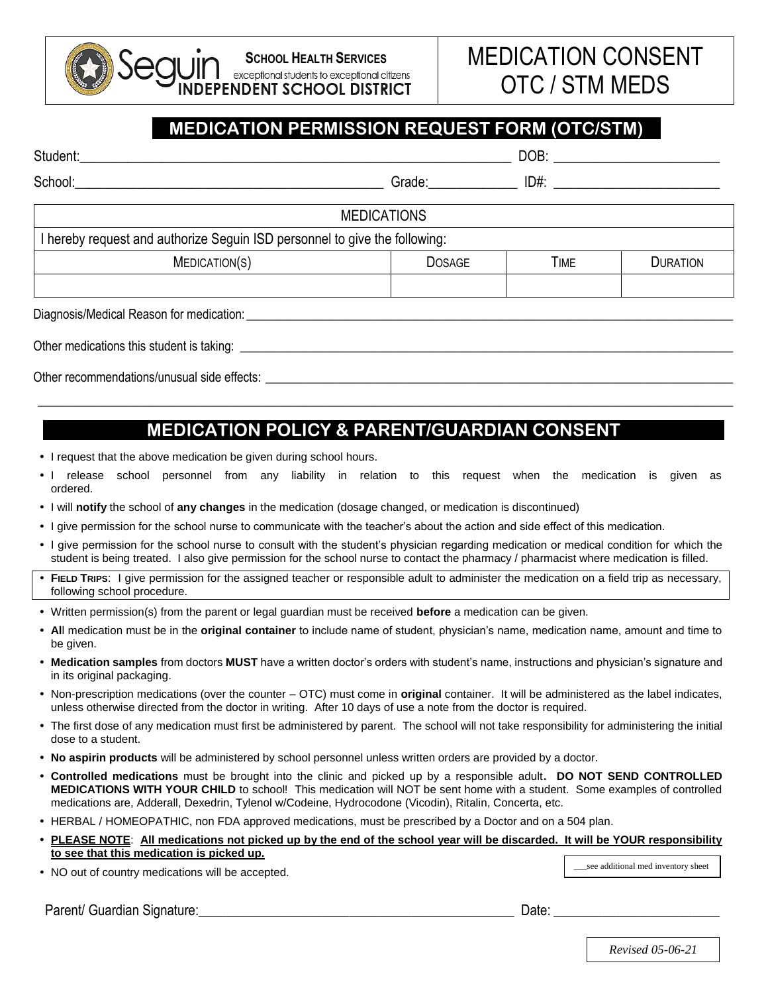## **SCHOOL HEALTH SERVICES**exceptional students to exceptional citizens **DEPENDENT SCHOOL DISTRICT**

## **MEDICATION PERMISSION REQUEST FORM (OTC/STM)**

| Student:                                                                   | DOB:                                                                                                                                                                                                                           |             |                 |  |  |  |  |  |  |  |  |
|----------------------------------------------------------------------------|--------------------------------------------------------------------------------------------------------------------------------------------------------------------------------------------------------------------------------|-------------|-----------------|--|--|--|--|--|--|--|--|
| School:                                                                    | Grade: The Contract of the Contract of the Contract of the Contract of the Contract of the Contract of the Contract of the Contract of the Contract of the Contract of the Contract of the Contract of the Contract of the Con | $ID#$ :     |                 |  |  |  |  |  |  |  |  |
| <b>MEDICATIONS</b>                                                         |                                                                                                                                                                                                                                |             |                 |  |  |  |  |  |  |  |  |
| I hereby request and authorize Seguin ISD personnel to give the following: |                                                                                                                                                                                                                                |             |                 |  |  |  |  |  |  |  |  |
| MEDICATION(S)                                                              | <b>DOSAGE</b>                                                                                                                                                                                                                  | <b>TIME</b> | <b>DURATION</b> |  |  |  |  |  |  |  |  |
|                                                                            |                                                                                                                                                                                                                                |             |                 |  |  |  |  |  |  |  |  |
|                                                                            |                                                                                                                                                                                                                                |             |                 |  |  |  |  |  |  |  |  |

Diagnosis/Medical Reason for medication:

Other medications this student is taking:

Other recommendations/unusual side effects:

## **MEDICATION POLICY & PARENT/GUARDIAN CONSENT**

\_\_\_\_\_\_\_\_\_\_\_\_\_\_\_\_\_\_\_\_\_\_\_\_\_\_\_\_\_\_\_\_\_\_\_\_\_\_\_\_\_\_\_\_\_\_\_\_\_\_\_\_\_\_\_\_\_\_\_\_\_\_\_\_\_\_\_\_\_\_\_\_\_\_\_\_\_\_\_\_\_\_\_\_\_\_\_\_\_\_\_\_\_\_\_\_\_\_\_\_\_\_\_\_\_\_\_\_\_\_

- I request that the above medication be given during school hours.
- I release school personnel from any liability in relation to this request when the medication is given as ordered.
- I will **notify** the school of **any changes** in the medication (dosage changed, or medication is discontinued)
- I give permission for the school nurse to communicate with the teacher's about the action and side effect of this medication.
- I give permission for the school nurse to consult with the student's physician regarding medication or medical condition for which the student is being treated. I also give permission for the school nurse to contact the pharmacy / pharmacist where medication is filled.
- **FIELD TRIPS**: I give permission for the assigned teacher or responsible adult to administer the medication on a field trip as necessary, following school procedure.
- Written permission(s) from the parent or legal guardian must be received **before** a medication can be given.
- **Al**l medication must be in the **original container** to include name of student, physician's name, medication name, amount and time to be given.
- **Medication samples** from doctors **MUST** have a written doctor's orders with student's name, instructions and physician's signature and in its original packaging.
- Non-prescription medications (over the counter OTC) must come in **original** container. It will be administered as the label indicates, unless otherwise directed from the doctor in writing. After 10 days of use a note from the doctor is required.
- The first dose of any medication must first be administered by parent. The school will not take responsibility for administering the initial dose to a student.
- **No aspirin products** will be administered by school personnel unless written orders are provided by a doctor.
- **Controlled medications** must be brought into the clinic and picked up by a responsible adult**. DO NOT SEND CONTROLLED MEDICATIONS WITH YOUR CHILD** to school! This medication will NOT be sent home with a student. Some examples of controlled medications are, Adderall, Dexedrin, Tylenol w/Codeine, Hydrocodone (Vicodin), Ritalin, Concerta, etc.
- HERBAL / HOMEOPATHIC, non FDA approved medications, must be prescribed by a Doctor and on a 504 plan.
- **PLEASE NOTE**: **All medications not picked up by the end of the school year will be discarded. It will be YOUR responsibility to see that this medication is picked up.**

• NO out of country medications will be accepted.

see additional med inventory sheet

Parent/ Guardian Signature:\_\_\_\_\_\_\_\_\_\_\_\_\_\_\_\_\_\_\_\_\_\_\_\_\_\_\_\_\_\_\_\_\_\_\_\_\_\_\_\_\_\_\_\_\_\_ Date: \_\_\_\_\_\_\_\_\_\_\_\_\_\_\_\_\_\_\_\_\_\_\_\_